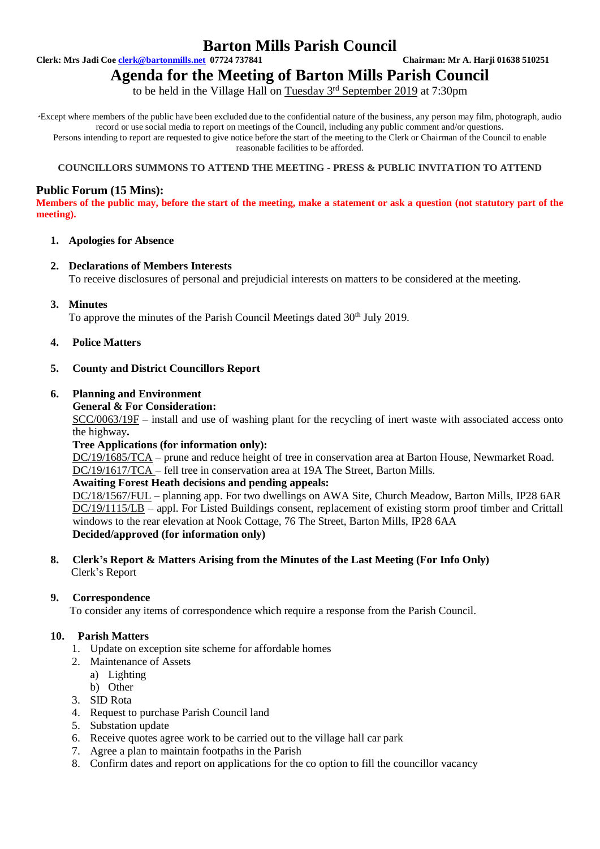# **Barton Mills Parish Council**

**Clerk: Mrs Jadi Coe [clerk@bartonmills.net](mailto:clerk@bartonmills.net) 07724 737841 Chairman: Mr A. Harji 01638 510251**

# **Agenda for the Meeting of Barton Mills Parish Council**

to be held in the Village Hall on Tuesday 3<sup>rd</sup> September 2019 at 7:30pm

\*Except where members of the public have been excluded due to the confidential nature of the business, any person may film, photograph, audio record or use social media to report on meetings of the Council, including any public comment and/or questions. Persons intending to report are requested to give notice before the start of the meeting to the Clerk or Chairman of the Council to enable reasonable facilities to be afforded.

#### **COUNCILLORS SUMMONS TO ATTEND THE MEETING - PRESS & PUBLIC INVITATION TO ATTEND**

### **Public Forum (15 Mins):**

**Members of the public may, before the start of the meeting, make a statement or ask a question (not statutory part of the meeting).**

#### **1. Apologies for Absence**

#### **2. Declarations of Members Interests**

To receive disclosures of personal and prejudicial interests on matters to be considered at the meeting.

**3. Minutes**

To approve the minutes of the Parish Council Meetings dated 30<sup>th</sup> July 2019.

#### **4. Police Matters**

#### **5. County and District Councillors Report**

#### **6. Planning and Environment**

#### **General & For Consideration:**

SCC/0063/19F – install and use of washing plant for the recycling of inert waste with associated access onto the highway**.**

#### **Tree Applications (for information only):**

DC/19/1685/TCA – prune and reduce height of tree in conservation area at Barton House, Newmarket Road. DC/19/1617/TCA – fell tree in conservation area at 19A The Street, Barton Mills.

#### **Awaiting Forest Heath decisions and pending appeals:**

DC/18/1567/FUL - planning app. For two dwellings on AWA Site, Church Meadow, Barton Mills, IP28 6AR DC/19/1115/LB – appl. For Listed Buildings consent, replacement of existing storm proof timber and Crittall windows to the rear elevation at Nook Cottage, 76 The Street, Barton Mills, IP28 6AA **Decided/approved (for information only)**

#### **8. Clerk's Report & Matters Arising from the Minutes of the Last Meeting (For Info Only)** Clerk's Report

#### **9. Correspondence**

To consider any items of correspondence which require a response from the Parish Council.

#### **10. Parish Matters**

- 1. Update on exception site scheme for affordable homes
- 2. Maintenance of Assets
	- a) Lighting
	- b) Other
- 3. SID Rota
- 4. Request to purchase Parish Council land
- 5. Substation update
- 6. Receive quotes agree work to be carried out to the village hall car park
- 7. Agree a plan to maintain footpaths in the Parish
- 8. Confirm dates and report on applications for the co option to fill the councillor vacancy